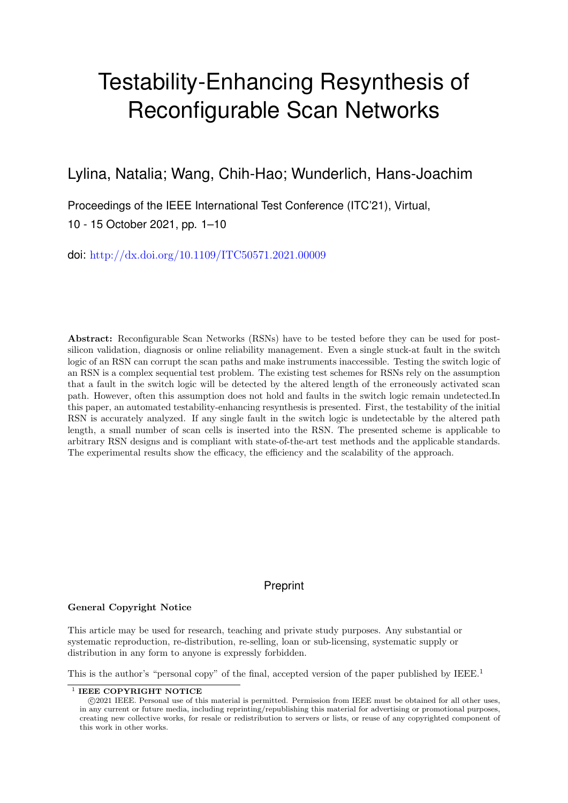# Testability-Enhancing Resynthesis of Reconfigurable Scan Networks

# Lylina, Natalia; Wang, Chih-Hao; Wunderlich, Hans-Joachim

Proceedings of the IEEE International Test Conference (ITC'21), Virtual, 10 - 15 October 2021, pp. 1–10

doi: <http://dx.doi.org/10.1109/ITC50571.2021.00009>

Abstract: Reconfigurable Scan Networks (RSNs) have to be tested before they can be used for postsilicon validation, diagnosis or online reliability management. Even a single stuck-at fault in the switch logic of an RSN can corrupt the scan paths and make instruments inaccessible. Testing the switch logic of an RSN is a complex sequential test problem. The existing test schemes for RSNs rely on the assumption that a fault in the switch logic will be detected by the altered length of the erroneously activated scan path. However, often this assumption does not hold and faults in the switch logic remain undetected.In this paper, an automated testability-enhancing resynthesis is presented. First, the testability of the initial RSN is accurately analyzed. If any single fault in the switch logic is undetectable by the altered path length, a small number of scan cells is inserted into the RSN. The presented scheme is applicable to arbitrary RSN designs and is compliant with state-of-the-art test methods and the applicable standards. The experimental results show the efficacy, the efficiency and the scalability of the approach.

# Preprint

# General Copyright Notice

This article may be used for research, teaching and private study purposes. Any substantial or systematic reproduction, re-distribution, re-selling, loan or sub-licensing, systematic supply or distribution in any form to anyone is expressly forbidden.

This is the author's "personal copy" of the final, accepted version of the paper published by IEEE.<sup>[1](#page-0-0)</sup>

<span id="page-0-0"></span> $1$  IEEE COPYRIGHT NOTICE

c 2021 IEEE. Personal use of this material is permitted. Permission from IEEE must be obtained for all other uses, in any current or future media, including reprinting/republishing this material for advertising or promotional purposes, creating new collective works, for resale or redistribution to servers or lists, or reuse of any copyrighted component of this work in other works.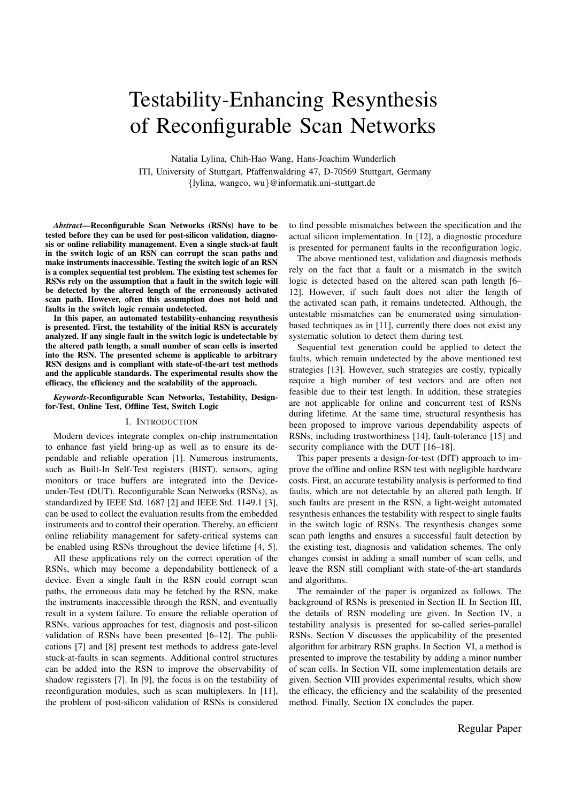# Testability-Enhancing Resynthesis of Reconfigurable Scan Networks

Natalia Lylina, Chih-Hao Wang, Hans-Joachim Wunderlich ITI, University of Stuttgart, Pfaffenwaldring 47, D-70569 Stuttgart, Germany *{*lylina, wangco, wu*}*@informatik.uni-stuttgart.de

*Abstract*—Reconfigurable Scan Networks (RSNs) have to be tested before they can be used for post-silicon validation, diagnosis or online reliability management. Even a single stuck-at fault in the switch logic of an RSN can corrupt the scan paths and make instruments inaccessible. Testing the switch logic of an RSN is a complex sequential test problem. The existing test schemes for RSNs rely on the assumption that a fault in the switch logic will be detected by the altered length of the erroneously activated scan path. However, often this assumption does not hold and faults in the switch logic remain undetected.

In this paper, an automated testability-enhancing resynthesis is presented. First, the testability of the initial RSN is accurately analyzed. If any single fault in the switch logic is undetectable by the altered path length, a small number of scan cells is inserted into the RSN. The presented scheme is applicable to arbitrary RSN designs and is compliant with state-of-the-art test methods and the applicable standards. The experimental results show the efficacy, the efficiency and the scalability of the approach.

*Keywords*-Reconfigurable Scan Networks, Testability, Designfor-Test, Online Test, Offline Test, Switch Logic

#### I. INTRODUCTION

Modern devices integrate complex on-chip instrumentation to enhance fast yield bring-up as well as to ensure its dependable and reliable operation [1]. Numerous instruments, such as Built-In Self-Test registers (BIST), sensors, aging monitors or trace buffers are integrated into the Deviceunder-Test (DUT). Reconfigurable Scan Networks (RSNs), as standardized by IEEE Std. 1687 [2] and IEEE Std. 1149.1 [3], can be used to collect the evaluation results from the embedded instruments and to control their operation. Thereby, an efficient online reliability management for safety-critical systems can be enabled using RSNs throughout the device lifetime [4, 5].

All these applications rely on the correct operation of the RSNs, which may become a dependability bottleneck of a device. Even a single fault in the RSN could corrupt scan paths, the erroneous data may be fetched by the RSN, make the instruments inaccessible through the RSN, and eventually result in a system failure. To ensure the reliable operation of RSNs, various approaches for test, diagnosis and post-silicon validation of RSNs have been presented [6–12]. The publications [7] and [8] present test methods to address gate-level stuck-at-faults in scan segments. Additional control structures can be added into the RSN to improve the observability of shadow regissters [7]. In [9], the focus is on the testability of reconfiguration modules, such as scan multiplexers. In [11], the problem of post-silicon validation of RSNs is considered to find possible mismatches between the specification and the actual silicon implementation. In [12], a diagnostic procedure is presented for permanent faults in the reconfiguration logic.

The above mentioned test, validation and diagnosis methods rely on the fact that a fault or a mismatch in the switch logic is detected based on the altered scan path length [6– 12]. However, if such fault does not alter the length of the activated scan path, it remains undetected. Although, the untestable mismatches can be enumerated using simulationbased techniques as in [11], currently there does not exist any systematic solution to detect them during test.

Sequential test generation could be applied to detect the faults, which remain undetected by the above mentioned test strategies [13]. However, such strategies are costly, typically require a high number of test vectors and are often not feasible due to their test length. In addition, these strategies are not applicable for online and concurrent test of RSNs during lifetime. At the same time, structural resynthesis has been proposed to improve various dependability aspects of RSNs, including trustworthiness [14], fault-tolerance [15] and security compliance with the DUT [16–18].

This paper presents a design-for-test (DfT) approach to improve the offline and online RSN test with negligible hardware costs. First, an accurate testability analysis is performed to find faults, which are not detectable by an altered path length. If such faults are present in the RSN, a light-weight automated resynthesis enhances the testability with respect to single faults in the switch logic of RSNs. The resynthesis changes some scan path lengths and ensures a successful fault detection by the existing test, diagnosis and validation schemes. The only changes consist in adding a small number of scan cells, and leave the RSN still compliant with state-of-the-art standards and algorithms.

The remainder of the paper is organized as follows. The background of RSNs is presented in Section II. In Section III, the details of RSN modeling are given. In Section IV, a testability analysis is presented for so-called series-parallel RSNs. Section V discusses the applicability of the presented algorithm for arbitrary RSN graphs. In Section VI, a method is presented to improve the testability by adding a minor number of scan cells. In Section VII, some implementation details are given. Section VIII provides experimental results, which show the efficacy, the efficiency and the scalability of the presented method. Finally, Section IX concludes the paper.

Regular Paper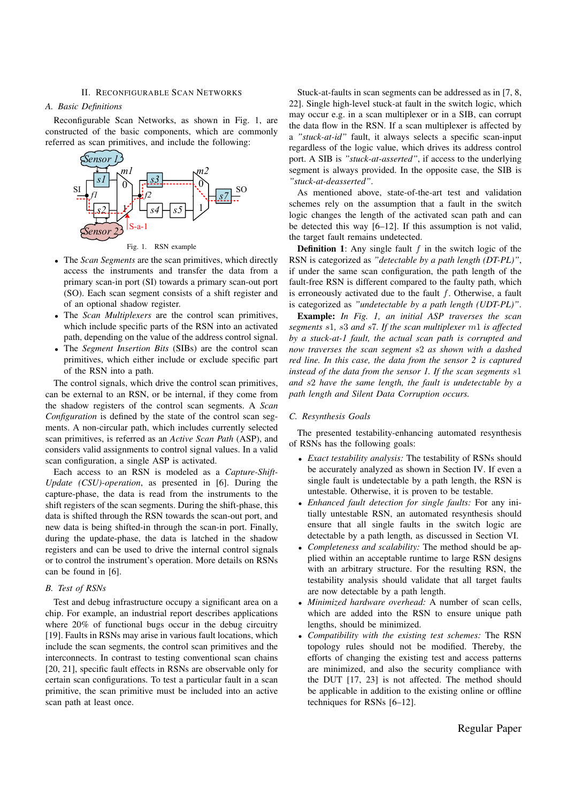# II. RECONFIGURABLE SCAN NETWORKS

# *A. Basic Definitions*

Reconfigurable Scan Networks, as shown in Fig. 1, are constructed of the basic components, which are commonly referred as scan primitives, and include the following:



Fig. 1. RSN example

- *•* The *Scan Segments* are the scan primitives, which directly access the instruments and transfer the data from a primary scan-in port (SI) towards a primary scan-out port (SO). Each scan segment consists of a shift register and of an optional shadow register.
- *•* The *Scan Multiplexers* are the control scan primitives, which include specific parts of the RSN into an activated path, depending on the value of the address control signal.
- *•* The *Segment Insertion Bits* (SIBs) are the control scan primitives, which either include or exclude specific part of the RSN into a path.

The control signals, which drive the control scan primitives, can be external to an RSN, or be internal, if they come from the shadow registers of the control scan segments. A *Scan Configuration* is defined by the state of the control scan segments. A non-circular path, which includes currently selected scan primitives, is referred as an *Active Scan Path* (ASP), and considers valid assignments to control signal values. In a valid scan configuration, a single ASP is activated.

Each access to an RSN is modeled as a *Capture-Shift-Update (CSU)-operation*, as presented in [6]. During the capture-phase, the data is read from the instruments to the shift registers of the scan segments. During the shift-phase, this data is shifted through the RSN towards the scan-out port, and new data is being shifted-in through the scan-in port. Finally, during the update-phase, the data is latched in the shadow registers and can be used to drive the internal control signals or to control the instrument's operation. More details on RSNs can be found in [6].

# *B. Test of RSNs*

Test and debug infrastructure occupy a significant area on a chip. For example, an industrial report describes applications where 20% of functional bugs occur in the debug circuitry [19]. Faults in RSNs may arise in various fault locations, which include the scan segments, the control scan primitives and the interconnects. In contrast to testing conventional scan chains [20, 21], specific fault effects in RSNs are observable only for certain scan configurations. To test a particular fault in a scan primitive, the scan primitive must be included into an active scan path at least once.

Stuck-at-faults in scan segments can be addressed as in [7, 8, 22]. Single high-level stuck-at fault in the switch logic, which may occur e.g. in a scan multiplexer or in a SIB, can corrupt the data flow in the RSN. If a scan multiplexer is affected by a *"stuck-at-id"* fault, it always selects a specific scan-input regardless of the logic value, which drives its address control port. A SIB is *"stuck-at-asserted"*, if access to the underlying segment is always provided. In the opposite case, the SIB is *"stuck-at-deasserted"*.

As mentioned above, state-of-the-art test and validation schemes rely on the assumption that a fault in the switch logic changes the length of the activated scan path and can be detected this way [6–12]. If this assumption is not valid, the target fault remains undetected.

Definition 1: Any single fault *f* in the switch logic of the RSN is categorized as *"detectable by a path length (DT-PL)"*, if under the same scan configuration, the path length of the fault-free RSN is different compared to the faulty path, which is erroneously activated due to the fault *f*. Otherwise, a fault is categorized as *"undetectable by a path length (UDT-PL)"*.

Example: *In Fig. 1, an initial ASP traverses the scan segments s*1*, s*3 *and s*7*. If the scan multiplexer m*1 *is affected by a stuck-at-1 fault, the actual scan path is corrupted and now traverses the scan segment s*2 *as shown with a dashed red line. In this case, the data from the sensor 2 is captured instead of the data from the sensor 1. If the scan segments s*1 *and s*2 *have the same length, the fault is undetectable by a path length and Silent Data Corruption occurs.*

#### *C. Resynthesis Goals*

The presented testability-enhancing automated resynthesis of RSNs has the following goals:

- *• Exact testability analysis:* The testability of RSNs should be accurately analyzed as shown in Section IV. If even a single fault is undetectable by a path length, the RSN is untestable. Otherwise, it is proven to be testable.
- *• Enhanced fault detection for single faults:* For any initially untestable RSN, an automated resynthesis should ensure that all single faults in the switch logic are detectable by a path length, as discussed in Section VI.
- *• Completeness and scalability:* The method should be applied within an acceptable runtime to large RSN designs with an arbitrary structure. For the resulting RSN, the testability analysis should validate that all target faults are now detectable by a path length.
- *• Minimized hardware overhead:* A number of scan cells, which are added into the RSN to ensure unique path lengths, should be minimized.
- *• Compatibility with the existing test schemes:* The RSN topology rules should not be modified. Thereby, the efforts of changing the existing test and access patterns are minimized, and also the security compliance with the DUT [17, 23] is not affected. The method should be applicable in addition to the existing online or offline techniques for RSNs [6–12].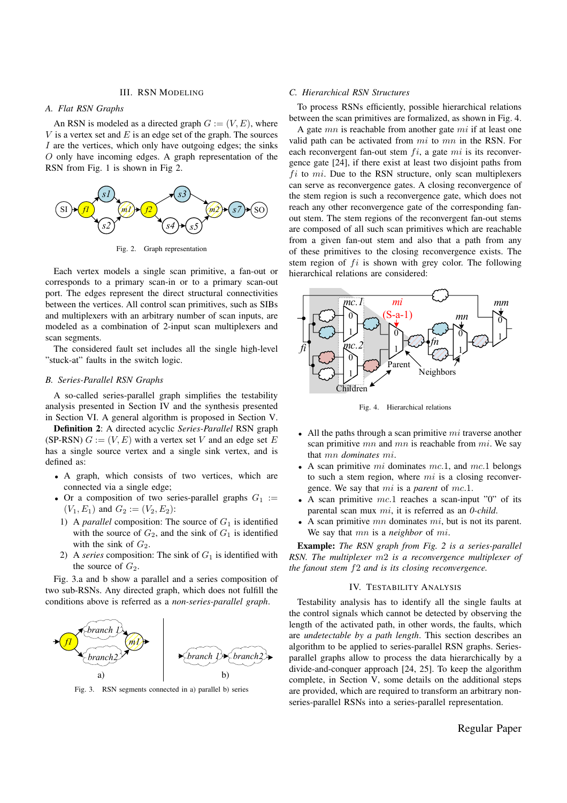#### III. RSN MODELING

# *A. Flat RSN Graphs*

An RSN is modeled as a directed graph  $G := (V, E)$ , where *V* is a vertex set and *E* is an edge set of the graph. The sources *I* are the vertices, which only have outgoing edges; the sinks *O* only have incoming edges. A graph representation of the RSN from Fig. 1 is shown in Fig 2.



Fig. 2. Graph representation

Each vertex models a single scan primitive, a fan-out or corresponds to a primary scan-in or to a primary scan-out port. The edges represent the direct structural connectivities between the vertices. All control scan primitives, such as SIBs and multiplexers with an arbitrary number of scan inputs, are modeled as a combination of 2-input scan multiplexers and scan segments.

The considered fault set includes all the single high-level "stuck-at" faults in the switch logic.

# *B. Series-Parallel RSN Graphs*

A so-called series-parallel graph simplifies the testability analysis presented in Section IV and the synthesis presented in Section VI. A general algorithm is proposed in Section V.

Definition 2: A directed acyclic *Series-Parallel* RSN graph (SP-RSN)  $G := (V, E)$  with a vertex set V and an edge set E has a single source vertex and a single sink vertex, and is defined as:

- *•* A graph, which consists of two vertices, which are connected via a single edge;
- Or a composition of two series-parallel graphs  $G_1$  :=  $(V_1, E_1)$  and  $G_2 := (V_2, E_2)$ :
	- 1) A *parallel* composition: The source of  $G_1$  is identified with the source of  $G_2$ , and the sink of  $G_1$  is identified with the sink of  $G_2$ .
- 2) A *series* composition: The sink of  $G_1$  is identified with the source of  $G_2$ .

Fig. 3.a and b show a parallel and a series composition of two sub-RSNs. Any directed graph, which does not fulfill the conditions above is referred as a *non-series-parallel graph*.



Fig. 3. RSN segments connected in a) parallel b) series

# *C. Hierarchical RSN Structures*

To process RSNs efficiently, possible hierarchical relations between the scan primitives are formalized, as shown in Fig. 4.

A gate *mn* is reachable from another gate *mi* if at least one valid path can be activated from *mi* to *mn* in the RSN. For each reconvergent fan-out stem *fi*, a gate *mi* is its reconvergence gate [24], if there exist at least two disjoint paths from *f i* to *mi*. Due to the RSN structure, only scan multiplexers can serve as reconvergence gates. A closing reconvergence of the stem region is such a reconvergence gate, which does not reach any other reconvergence gate of the corresponding fanout stem. The stem regions of the reconvergent fan-out stems are composed of all such scan primitives which are reachable from a given fan-out stem and also that a path from any of these primitives to the closing reconvergence exists. The stem region of *fi* is shown with grey color. The following hierarchical relations are considered:



Fig. 4. Hierarchical relations

- *•* All the paths through a scan primitive *mi* traverse another scan primitive *mn* and *mn* is reachable from *mi*. We say that *mn dominates mi*.
- *•* A scan primitive *mi* dominates *mc.*1, and *mc.*1 belongs to such a stem region, where *mi* is a closing reconvergence. We say that *mi* is a *parent* of *mc.*1.
- *•* A scan primitive *mc.*1 reaches a scan-input "0" of its parental scan mux *mi*, it is referred as an *0-child*.
- *•* A scan primitive *mn* dominates *mi*, but is not its parent. We say that *mn* is a *neighbor* of *mi*.

Example: *The RSN graph from Fig. 2 is a series-parallel RSN. The multiplexer m*2 *is a reconvergence multiplexer of the fanout stem f*2 *and is its closing reconvergence.*

# IV. TESTABILITY ANALYSIS

Testability analysis has to identify all the single faults at the control signals which cannot be detected by observing the length of the activated path, in other words, the faults, which are *undetectable by a path length*. This section describes an algorithm to be applied to series-parallel RSN graphs. Seriesparallel graphs allow to process the data hierarchically by a divide-and-conquer approach [24, 25]. To keep the algorithm complete, in Section V, some details on the additional steps are provided, which are required to transform an arbitrary nonseries-parallel RSNs into a series-parallel representation.

# Regular Paper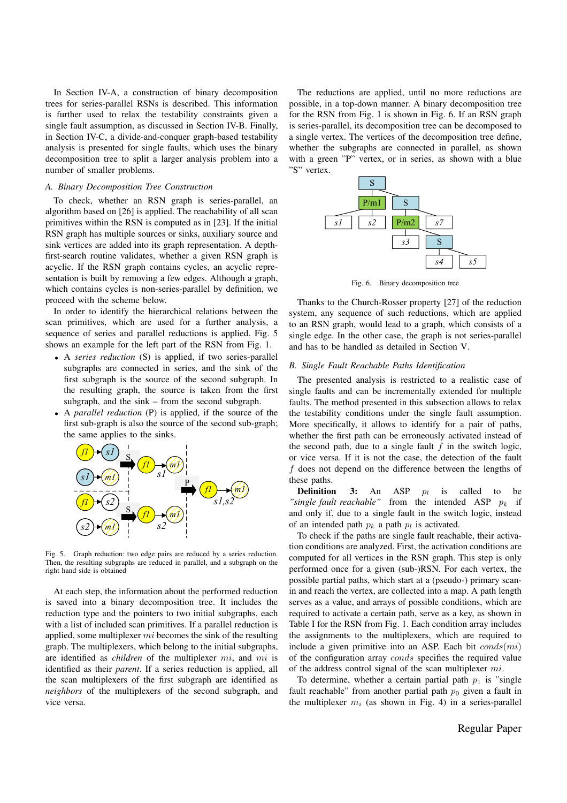In Section IV-A, a construction of binary decomposition trees for series-parallel RSNs is described. This information is further used to relax the testability constraints given a single fault assumption, as discussed in Section IV-B. Finally, in Section IV-C, a divide-and-conquer graph-based testability analysis is presented for single faults, which uses the binary decomposition tree to split a larger analysis problem into a number of smaller problems.

#### *A. Binary Decomposition Tree Construction*

To check, whether an RSN graph is series-parallel, an algorithm based on [26] is applied. The reachability of all scan primitives within the RSN is computed as in [23]. If the initial RSN graph has multiple sources or sinks, auxiliary source and sink vertices are added into its graph representation. A depthfirst-search routine validates, whether a given RSN graph is acyclic. If the RSN graph contains cycles, an acyclic representation is built by removing a few edges. Although a graph, which contains cycles is non-series-parallel by definition, we proceed with the scheme below.

In order to identify the hierarchical relations between the scan primitives, which are used for a further analysis, a sequence of series and parallel reductions is applied. Fig. 5 shows an example for the left part of the RSN from Fig. 1.

- *•* A *series reduction* (S) is applied, if two series-parallel subgraphs are connected in series, and the sink of the first subgraph is the source of the second subgraph. In the resulting graph, the source is taken from the first subgraph, and the sink – from the second subgraph.
- *•* A *parallel reduction* (P) is applied, if the source of the first sub-graph is also the source of the second sub-graph; the same applies to the sinks.



Fig. 5. Graph reduction: two edge pairs are reduced by a series reduction. Then, the resulting subgraphs are reduced in parallel, and a subgraph on the right hand side is obtained

At each step, the information about the performed reduction is saved into a binary decomposition tree. It includes the reduction type and the pointers to two initial subgraphs, each with a list of included scan primitives. If a parallel reduction is applied, some multiplexer *mi* becomes the sink of the resulting graph. The multiplexers, which belong to the initial subgraphs, are identified as *children* of the multiplexer *mi*, and *mi* is identified as their *parent*. If a series reduction is applied, all the scan multiplexers of the first subgraph are identified as *neighbors* of the multiplexers of the second subgraph, and vice versa.

The reductions are applied, until no more reductions are possible, in a top-down manner. A binary decomposition tree for the RSN from Fig. 1 is shown in Fig. 6. If an RSN graph is series-parallel, its decomposition tree can be decomposed to a single vertex. The vertices of the decomposition tree define, whether the subgraphs are connected in parallel, as shown with a green "P" vertex, or in series, as shown with a blue "S" vertex.



Fig. 6. Binary decomposition tree

Thanks to the Church-Rosser property [27] of the reduction system, any sequence of such reductions, which are applied to an RSN graph, would lead to a graph, which consists of a single edge. In the other case, the graph is not series-parallel and has to be handled as detailed in Section V.

#### *B. Single Fault Reachable Paths Identification*

The presented analysis is restricted to a realistic case of single faults and can be incrementally extended for multiple faults. The method presented in this subsection allows to relax the testability conditions under the single fault assumption. More specifically, it allows to identify for a pair of paths, whether the first path can be erroneously activated instead of the second path, due to a single fault *f* in the switch logic, or vice versa. If it is not the case, the detection of the fault *f* does not depend on the difference between the lengths of these paths.

**Definition** 3: An ASP  $p_l$  is called to be *"single fault reachable"* from the intended ASP  $p_k$  if and only if, due to a single fault in the switch logic, instead of an intended path  $p_k$  a path  $p_l$  is activated.

To check if the paths are single fault reachable, their activation conditions are analyzed. First, the activation conditions are computed for all vertices in the RSN graph. This step is only performed once for a given (sub-)RSN. For each vertex, the possible partial paths, which start at a (pseudo-) primary scanin and reach the vertex, are collected into a map. A path length serves as a value, and arrays of possible conditions, which are required to activate a certain path, serve as a key, as shown in Table I for the RSN from Fig. 1. Each condition array includes the assignments to the multiplexers, which are required to include a given primitive into an ASP. Each bit *conds*(*mi*) of the configuration array *conds* specifies the required value of the address control signal of the scan multiplexer *mi*.

To determine, whether a certain partial path  $p_1$  is "single" fault reachable" from another partial path  $p_0$  given a fault in the multiplexer  $m_i$  (as shown in Fig. 4) in a series-parallel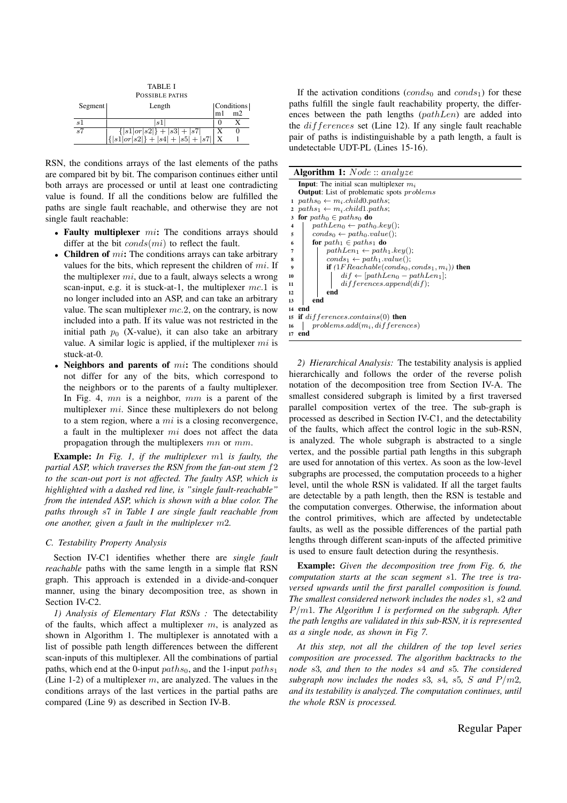| <b>TABLE I</b><br>POSSIBLE PATHS |                                                                                     |        |                              |  |  |  |
|----------------------------------|-------------------------------------------------------------------------------------|--------|------------------------------|--|--|--|
| Segment                          | Length                                                                              | m1     | Conditions<br>m <sub>2</sub> |  |  |  |
| s1                               | s1                                                                                  |        |                              |  |  |  |
| s7                               | ${  s1  \sigma  s2  } +  s3  +  s7 $<br>${  s1  \sigma  s2  } +  s4  +  s5  +  s7 $ | X<br>X |                              |  |  |  |

RSN, the conditions arrays of the last elements of the paths are compared bit by bit. The comparison continues either until both arrays are processed or until at least one contradicting value is found. If all the conditions below are fulfilled the paths are single fault reachable, and otherwise they are not single fault reachable:

- *•* Faulty multiplexer *mi*: The conditions arrays should differ at the bit *conds*(*mi*) to reflect the fault.
- Children of *mi*: The conditions arrays can take arbitrary values for the bits, which represent the children of *mi*. If the multiplexer *mi*, due to a fault, always selects a wrong scan-input, e.g. it is stuck-at-1, the multiplexer *mc.*1 is no longer included into an ASP, and can take an arbitrary value. The scan multiplexer *mc.*2, on the contrary, is now included into a path. If its value was not restricted in the initial path  $p_0$  (X-value), it can also take an arbitrary value. A similar logic is applied, if the multiplexer *mi* is stuck-at-0.
- *•* Neighbors and parents of *mi*: The conditions should not differ for any of the bits, which correspond to the neighbors or to the parents of a faulty multiplexer. In Fig. 4, *mn* is a neighbor, *mm* is a parent of the multiplexer *mi*. Since these multiplexers do not belong to a stem region, where a *mi* is a closing reconvergence, a fault in the multiplexer *mi* does not affect the data propagation through the multiplexers *mn* or *mm*.

Example: *In Fig. 1, if the multiplexer m*1 *is faulty, the partial ASP, which traverses the RSN from the fan-out stem f*2 *to the scan-out port is not affected. The faulty ASP, which is highlighted with a dashed red line, is "single fault-reachable" from the intended ASP, which is shown with a blue color. The paths through s*7 *in Table I are single fault reachable from one another, given a fault in the multiplexer m*2*.*

# *C. Testability Property Analysis*

Section IV-C1 identifies whether there are *single fault reachable* paths with the same length in a simple flat RSN graph. This approach is extended in a divide-and-conquer manner, using the binary decomposition tree, as shown in Section IV-C2.

*1) Analysis of Elementary Flat RSNs :* The detectability of the faults, which affect a multiplexer *m*, is analyzed as shown in Algorithm 1. The multiplexer is annotated with a list of possible path length differences between the different scan-inputs of this multiplexer. All the combinations of partial paths, which end at the 0-input  $paths_0$ , and the 1-input  $paths_1$ (Line 1-2) of a multiplexer *m*, are analyzed. The values in the conditions arrays of the last vertices in the partial paths are compared (Line 9) as described in Section IV-B.

If the activation conditions  $(conds<sub>0</sub> and conds<sub>1</sub>)$  for these paths fulfill the single fault reachability property, the differences between the path lengths (*pathLen*) are added into the *differences* set (Line 12). If any single fault reachable pair of paths is indistinguishable by a path length, a fault is undetectable UDT-PL (Lines 15-16).

| <b>Algorithm 1:</b> <i>Node</i> :: analyze |                                                                                                                    |  |  |  |  |
|--------------------------------------------|--------------------------------------------------------------------------------------------------------------------|--|--|--|--|
|                                            | <b>Input:</b> The initial scan multiplexer $m_i$                                                                   |  |  |  |  |
|                                            | <b>Output:</b> List of problematic spots <i>problems</i>                                                           |  |  |  |  |
|                                            | 1 $paths_0 \leftarrow m_i.child0.paths;$                                                                           |  |  |  |  |
|                                            | $paths_1 \leftarrow m_i.child1.path;$                                                                              |  |  |  |  |
| 3                                          | for $path_0 \in paths_0$ do                                                                                        |  |  |  |  |
| 4                                          | $pathLen_0 \leftarrow path_0.key();$                                                                               |  |  |  |  |
| 5                                          | $conds_0 \leftarrow path_0.value();$                                                                               |  |  |  |  |
| 6                                          | for $path_1 \in paths_1$ do                                                                                        |  |  |  |  |
| 7                                          | $pathLen_1 \leftarrow path_1.key();$                                                                               |  |  |  |  |
| 8                                          | $conds_1 \leftarrow path_1.value();$                                                                               |  |  |  |  |
| 9                                          | <b>if</b> $(1FReachable(conds0,conds1, mi))$ then                                                                  |  |  |  |  |
| 10                                         | $\label{eq:diff} \begin{aligned} \textit{dif} \leftarrow [\textit{pathLen}_0 - \textit{pathLen}_1]; \end{aligned}$ |  |  |  |  |
| 11                                         | differences.append(di).                                                                                            |  |  |  |  |
| 12                                         | end                                                                                                                |  |  |  |  |
| 13                                         | end                                                                                                                |  |  |  |  |
|                                            | 14 end                                                                                                             |  |  |  |  |
|                                            | 15 if $differences. contains(0)$ then                                                                              |  |  |  |  |
| 16                                         | $problems.add(m_i, differences)$                                                                                   |  |  |  |  |
| 17                                         | end                                                                                                                |  |  |  |  |

*2) Hierarchical Analysis:* The testability analysis is applied hierarchically and follows the order of the reverse polish notation of the decomposition tree from Section IV-A. The smallest considered subgraph is limited by a first traversed parallel composition vertex of the tree. The sub-graph is processed as described in Section IV-C1, and the detectability of the faults, which affect the control logic in the sub-RSN, is analyzed. The whole subgraph is abstracted to a single vertex, and the possible partial path lengths in this subgraph are used for annotation of this vertex. As soon as the low-level subgraphs are processed, the computation proceeds to a higher level, until the whole RSN is validated. If all the target faults are detectable by a path length, then the RSN is testable and the computation converges. Otherwise, the information about the control primitives, which are affected by undetectable faults, as well as the possible differences of the partial path lengths through different scan-inputs of the affected primitive is used to ensure fault detection during the resynthesis.

Example: *Given the decomposition tree from Fig. 6, the computation starts at the scan segment s*1*. The tree is traversed upwards until the first parallel composition is found. The smallest considered network includes the nodes s*1*, s*2 *and P/m*1*. The Algorithm 1 is performed on the subgraph. After the path lengths are validated in this sub-RSN, it is represented as a single node, as shown in Fig 7.*

*At this step, not all the children of the top level series composition are processed. The algorithm backtracks to the node s*3*, and then to the nodes s*4 *and s*5*. The considered subgraph now includes the nodes*  $s3$ ,  $s4$ ,  $s5$ ,  $S$  *and*  $P/m2$ , *and its testability is analyzed. The computation continues, until the whole RSN is processed.*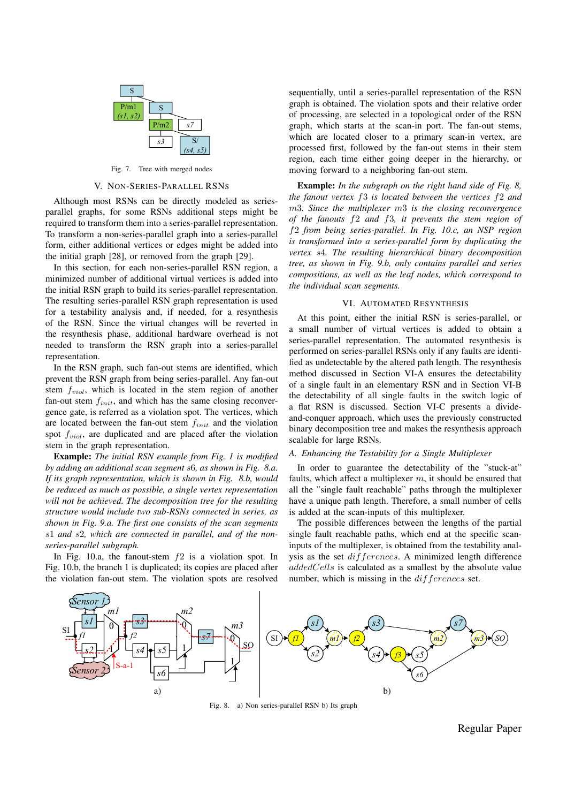

Fig. 7. Tree with merged nodes

# V. NON-SERIES-PARALLEL RSNS

Although most RSNs can be directly modeled as seriesparallel graphs, for some RSNs additional steps might be required to transform them into a series-parallel representation. To transform a non-series-parallel graph into a series-parallel form, either additional vertices or edges might be added into the initial graph [28], or removed from the graph [29].

In this section, for each non-series-parallel RSN region, a minimized number of additional virtual vertices is added into the initial RSN graph to build its series-parallel representation. The resulting series-parallel RSN graph representation is used for a testability analysis and, if needed, for a resynthesis of the RSN. Since the virtual changes will be reverted in the resynthesis phase, additional hardware overhead is not needed to transform the RSN graph into a series-parallel representation.

In the RSN graph, such fan-out stems are identified, which prevent the RSN graph from being series-parallel. Any fan-out stem *fviol*, which is located in the stem region of another fan-out stem *finit*, and which has the same closing reconvergence gate, is referred as a violation spot. The vertices, which are located between the fan-out stem *finit* and the violation spot *fviol*, are duplicated and are placed after the violation stem in the graph representation.

Example: *The initial RSN example from Fig. 1 is modified by adding an additional scan segment s*6*, as shown in Fig. 8.a. If its graph representation, which is shown in Fig. 8.b, would be reduced as much as possible, a single vertex representation will not be achieved. The decomposition tree for the resulting structure would include two sub-RSNs connected in series, as shown in Fig. 9.a. The first one consists of the scan segments s*1 *and s*2*, which are connected in parallel, and of the nonseries-parallel subgraph.*

In Fig. 10.a, the fanout-stem *f*2 is a violation spot. In Fig. 10.b, the branch 1 is duplicated; its copies are placed after the violation fan-out stem. The violation spots are resolved

sequentially, until a series-parallel representation of the RSN graph is obtained. The violation spots and their relative order of processing, are selected in a topological order of the RSN graph, which starts at the scan-in port. The fan-out stems, which are located closer to a primary scan-in vertex, are processed first, followed by the fan-out stems in their stem region, each time either going deeper in the hierarchy, or moving forward to a neighboring fan-out stem.

Example: *In the subgraph on the right hand side of Fig. 8, the fanout vertex f*3 *is located between the vertices f*2 *and m*3*. Since the multiplexer m*3 *is the closing reconvergence of the fanouts f*2 *and f*3*, it prevents the stem region of f*2 *from being series-parallel. In Fig. 10.c, an NSP region is transformed into a series-parallel form by duplicating the vertex s*4*. The resulting hierarchical binary decomposition tree, as shown in Fig. 9.b, only contains parallel and series compositions, as well as the leaf nodes, which correspond to the individual scan segments.*

#### VI. AUTOMATED RESYNTHESIS

At this point, either the initial RSN is series-parallel, or a small number of virtual vertices is added to obtain a series-parallel representation. The automated resynthesis is performed on series-parallel RSNs only if any faults are identified as undetectable by the altered path length. The resynthesis method discussed in Section VI-A ensures the detectability of a single fault in an elementary RSN and in Section VI-B the detectability of all single faults in the switch logic of a flat RSN is discussed. Section VI-C presents a divideand-conquer approach, which uses the previously constructed binary decomposition tree and makes the resynthesis approach scalable for large RSNs.

# *A. Enhancing the Testability for a Single Multiplexer*

In order to guarantee the detectability of the "stuck-at" faults, which affect a multiplexer *m*, it should be ensured that all the "single fault reachable" paths through the multiplexer have a unique path length. Therefore, a small number of cells is added at the scan-inputs of this multiplexer.

The possible differences between the lengths of the partial single fault reachable paths, which end at the specific scaninputs of the multiplexer, is obtained from the testability analysis as the set *differences*. A minimized length difference *addedCells* is calculated as a smallest by the absolute value number, which is missing in the *differences* set.



Fig. 8. a) Non series-parallel RSN b) Its graph

Regular Paper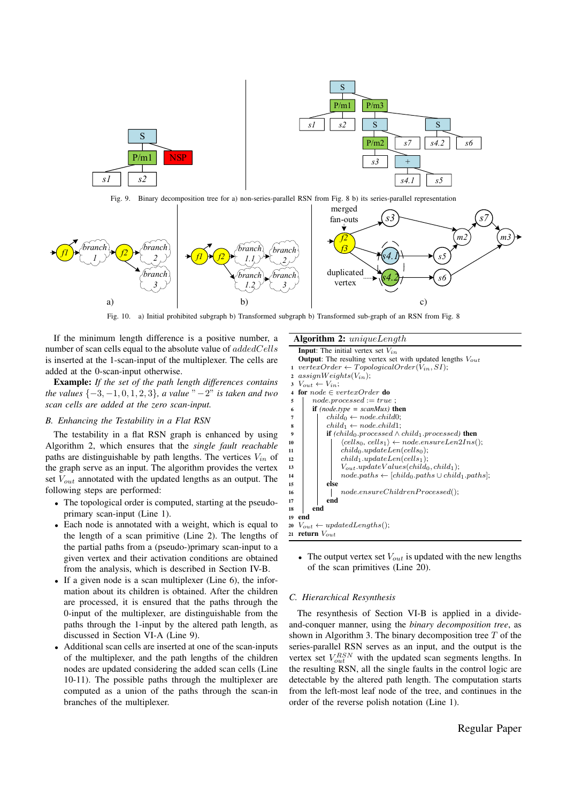

Fig. 9. Binary decomposition tree for a) non-series-parallel RSN from Fig. 8 b) its series-parallel representation



Fig. 10. a) Initial prohibited subgraph b) Transformed subgraph b) Transformed sub-graph of an RSN from Fig. 8

If the minimum length difference is a positive number, a number of scan cells equal to the absolute value of *addedCells* is inserted at the 1-scan-input of the multiplexer. The cells are added at the 0-scan-input otherwise.

Example: *If the set of the path length differences contains the values*  $\{-3, -1, 0, 1, 2, 3\}$ *, a value*  $" -2"$  *is taken and two scan cells are added at the zero scan-input.*

# *B. Enhancing the Testability in a Flat RSN*

The testability in a flat RSN graph is enhanced by using Algorithm 2, which ensures that the *single fault reachable* paths are distinguishable by path lengths. The vertices  $V_{in}$  of the graph serve as an input. The algorithm provides the vertex set *Vout* annotated with the updated lengths as an output. The following steps are performed:

- The topological order is computed, starting at the pseudoprimary scan-input (Line 1).
- *•* Each node is annotated with a weight, which is equal to the length of a scan primitive (Line 2). The lengths of the partial paths from a (pseudo-)primary scan-input to a given vertex and their activation conditions are obtained from the analysis, which is described in Section IV-B.
- If a given node is a scan multiplexer (Line 6), the information about its children is obtained. After the children are processed, it is ensured that the paths through the 0-input of the multiplexer, are distinguishable from the paths through the 1-input by the altered path length, as discussed in Section VI-A (Line 9).
- *•* Additional scan cells are inserted at one of the scan-inputs of the multiplexer, and the path lengths of the children nodes are updated considering the added scan cells (Line 10-11). The possible paths through the multiplexer are computed as a union of the paths through the scan-in branches of the multiplexer.

# Algorithm 2: *uniqueLength*



*•* The output vertex set *Vout* is updated with the new lengths of the scan primitives (Line 20).

# *C. Hierarchical Resynthesis*

The resynthesis of Section VI-B is applied in a divideand-conquer manner, using the *binary decomposition tree*, as shown in Algorithm 3. The binary decomposition tree *T* of the series-parallel RSN serves as an input, and the output is the vertex set  $V_{out}^{RSN}$  with the updated scan segments lengths. In the resulting RSN, all the single faults in the control logic are detectable by the altered path length. The computation starts from the left-most leaf node of the tree, and continues in the order of the reverse polish notation (Line 1).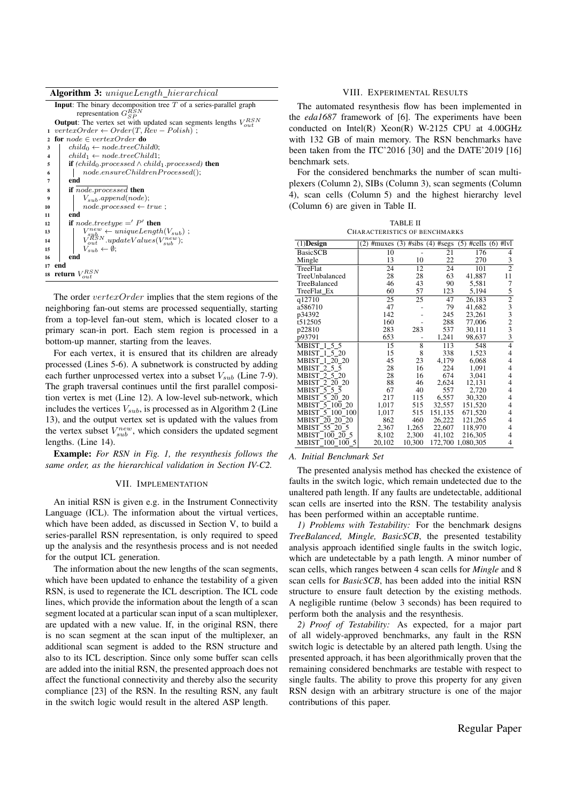|  |  | <b>Algorithm 3:</b> uniqueLength_hierarchical |  |
|--|--|-----------------------------------------------|--|
|--|--|-----------------------------------------------|--|

|                         | .                                                                                                           |
|-------------------------|-------------------------------------------------------------------------------------------------------------|
|                         | <b>Input:</b> The binary decomposition tree $T$ of a series-parallel graph<br>representation $G_{SP}^{RSN}$ |
|                         | <b>Output:</b> The vertex set with updated scan segments lengths $V_{out}^{RSN}$                            |
| 1                       | $vertexOrder \leftarrow Order(T, Rev - Polish)$ ;                                                           |
| $\mathbf{2}$            | for $node \in vertexOrder$ do                                                                               |
| 3                       | $child_0 \leftarrow node-treeChild0;$                                                                       |
| $\overline{\mathbf{4}}$ | $child_1 \leftarrow node-treeChild1;$                                                                       |
| 5                       | <b>if</b> (child <sub>0</sub> .processed $\wedge$ child <sub>1</sub> .processed) <b>then</b>                |
| 6                       | node.ensureChildrenProcessed();                                                                             |
| 7                       | end                                                                                                         |
| 8                       | if node.processed then                                                                                      |
| $\boldsymbol{9}$        | $V_{sub}.append(node);$                                                                                     |
| 10                      | $node.processed \leftarrow true;$                                                                           |
| 11                      | end                                                                                                         |
| 12                      | if node.treetype $=$ $'$ P' then                                                                            |
| 13                      |                                                                                                             |
| 14                      | $V_{sub}^{new} \leftarrow uniqueLength(V_{sub})$ ;<br>$V_{out}^{RSN}$ .updateValues( $V_{sub}^{new}$ );     |
| 15                      | $V_{sub} \leftarrow \emptyset;$                                                                             |
| 16                      | end                                                                                                         |
| 17 end                  |                                                                                                             |
|                         | 18 return                                                                                                   |
|                         |                                                                                                             |
|                         |                                                                                                             |

The order *vertexOrder* implies that the stem regions of the neighboring fan-out stems are processed sequentially, starting from a top-level fan-out stem, which is located closer to a primary scan-in port. Each stem region is processed in a bottom-up manner, starting from the leaves.

For each vertex, it is ensured that its children are already processed (Lines 5-6). A subnetwork is constructed by adding each further unprocessed vertex into a subset *Vsub* (Line 7-9). The graph traversal continues until the first parallel composition vertex is met (Line 12). A low-level sub-network, which includes the vertices *Vsub*, is processed as in Algorithm 2 (Line 13), and the output vertex set is updated with the values from the vertex subset  $V_{sub}^{new}$ , which considers the updated segment lengths. (Line 14).

Example: *For RSN in Fig. 1, the resynthesis follows the same order, as the hierarchical validation in Section IV-C2.*

# VII. IMPLEMENTATION

An initial RSN is given e.g. in the Instrument Connectivity Language (ICL). The information about the virtual vertices, which have been added, as discussed in Section V, to build a series-parallel RSN representation, is only required to speed up the analysis and the resynthesis process and is not needed for the output ICL generation.

The information about the new lengths of the scan segments, which have been updated to enhance the testability of a given RSN, is used to regenerate the ICL description. The ICL code lines, which provide the information about the length of a scan segment located at a particular scan input of a scan multiplexer, are updated with a new value. If, in the original RSN, there is no scan segment at the scan input of the multiplexer, an additional scan segment is added to the RSN structure and also to its ICL description. Since only some buffer scan cells are added into the initial RSN, the presented approach does not affect the functional connectivity and thereby also the security compliance [23] of the RSN. In the resulting RSN, any fault in the switch logic would result in the altered ASP length.

#### VIII. EXPERIMENTAL RESULTS

The automated resynthesis flow has been implemented in the *eda1687* framework of [6]. The experiments have been conducted on Intel(R) Xeon(R) W-2125 CPU at 4.00GHz with 132 GB of main memory. The RSN benchmarks have been taken from the ITC'2016 [30] and the DATE'2019 [16] benchmark sets.

For the considered benchmarks the number of scan multiplexers (Column 2), SIBs (Column 3), scan segments (Column 4), scan cells (Column 5) and the highest hierarchy level (Column 6) are given in Table II.

TABLE II CHARACTERISTICS OF BENCHMARKS

| $\overline{(1)$ Design | (2)<br>#muxes | #sibs(4)<br>(3) | #segs   | (5)               | #cells $(6)$ #lvl                               |
|------------------------|---------------|-----------------|---------|-------------------|-------------------------------------------------|
| <b>BasicSCB</b>        | 10            |                 | 21      | 176               | 4                                               |
| Mingle                 | 13            | 10              | 22      | 270               | 3                                               |
| TreeFlat               | 24            | 12              | 24      | 101               | $\overline{2}$                                  |
| TreeUnbalanced         | 28            | 28              | 63      | 41,887            | 11                                              |
| TreeBalanced           | 46            | 43              | 90      | 5,581             | 7                                               |
| TreeFlat_Ex            | 60            | 57              | 123     | 5,194             | 5                                               |
| q12710                 | 25            | 25              | 47      | 26, 183           | $\begin{array}{c}\n23 \\ 32 \\ 23\n\end{array}$ |
| a586710                | 47            |                 | 79      | 41,682            |                                                 |
| p34392                 | 142           |                 | 245     | 23,261            |                                                 |
| $t$ 512505             | 160           |                 | 288     | 77,006            |                                                 |
| p22810                 | 283           | 283             | 537     | 30,111            |                                                 |
| p93791                 | 653           |                 | 1,241   | 98,637            | 3                                               |
| MBIST 1 5 5            | 15            | 8               | 113     | 548               | 4                                               |
| MBIST 1 5 20           | 15            | 8               | 338     | 1,523             | 4                                               |
| MBIST 1 20 20          | 45            | 23              | 4,179   | 6,068             | $\overline{4}$                                  |
| MBIST 2 5 5            | 28            | 16              | 224     | 1,091             | $\overline{4}$                                  |
| MBIST_2_5_20           | 28            | 16              | 674     | 3,041             | $\overline{4}$                                  |
| MBIST 2 20 20          | 88            | 46              | 2,624   | 12,131            | $\overline{4}$                                  |
| MBIST_5_5_5            | 67            | 40              | 557     | 2,720             | $\overline{4}$                                  |
| MBIST 5 20 20          | 217           | 115             | 6,557   | 30,320            | $\overline{4}$                                  |
| MBIST 5 100 20         | 1,017         | 515             | 32,557  | 151,520           | $\overline{4}$                                  |
| MBIST 5 100 100        | 1,017         | 515             | 151,135 | 671,520           | 4                                               |
| MBIST 20 20 20         | 862           | 460             | 26,222  | 121,265           | $\overline{4}$                                  |
| MBIST_55_20_5          | 2,367         | 1,265           | 22,607  | 118,970           | $\overline{4}$                                  |
| MBIST 100 20 5         | 8,102         | 2,300           | 41,102  | 216,305           | 4                                               |
| MBIST 100 100 5        | 20,102        | 10,300          |         | 172,700 1,080,305 | 4                                               |

### *A. Initial Benchmark Set*

The presented analysis method has checked the existence of faults in the switch logic, which remain undetected due to the unaltered path length. If any faults are undetectable, additional scan cells are inserted into the RSN. The testability analysis has been performed within an acceptable runtime.

*1) Problems with Testability:* For the benchmark designs *TreeBalanced, Mingle, BasicSCB*, the presented testability analysis approach identified single faults in the switch logic, which are undetectable by a path length. A minor number of scan cells, which ranges between 4 scan cells for *Mingle* and 8 scan cells for *BasicSCB*, has been added into the initial RSN structure to ensure fault detection by the existing methods. A negligible runtime (below 3 seconds) has been required to perform both the analysis and the resynthesis.

*2) Proof of Testability:* As expected, for a major part of all widely-approved benchmarks, any fault in the RSN switch logic is detectable by an altered path length. Using the presented approach, it has been algorithmically proven that the remaining considered benchmarks are testable with respect to single faults. The ability to prove this property for any given RSN design with an arbitrary structure is one of the major contributions of this paper.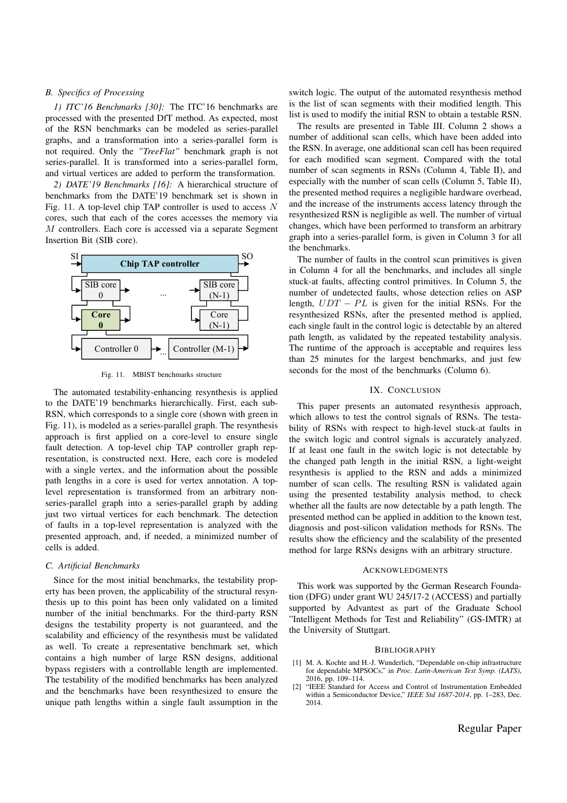# *B. Specifics of Processing*

*1) ITC'16 Benchmarks [30]:* The ITC'16 benchmarks are processed with the presented DfT method. As expected, most of the RSN benchmarks can be modeled as series-parallel graphs, and a transformation into a series-parallel form is not required. Only the *"TreeFlat"* benchmark graph is not series-parallel. It is transformed into a series-parallel form, and virtual vertices are added to perform the transformation.

*2) DATE'19 Benchmarks [16]:* A hierarchical structure of benchmarks from the DATE'19 benchmark set is shown in Fig. 11. A top-level chip TAP controller is used to access *N* cores, such that each of the cores accesses the memory via *M* controllers. Each core is accessed via a separate Segment Insertion Bit (SIB core).



Fig. 11. MBIST benchmarks structure

The automated testability-enhancing resynthesis is applied to the DATE'19 benchmarks hierarchically. First, each sub-RSN, which corresponds to a single core (shown with green in Fig. 11), is modeled as a series-parallel graph. The resynthesis approach is first applied on a core-level to ensure single fault detection. A top-level chip TAP controller graph representation, is constructed next. Here, each core is modeled with a single vertex, and the information about the possible path lengths in a core is used for vertex annotation. A toplevel representation is transformed from an arbitrary nonseries-parallel graph into a series-parallel graph by adding just two virtual vertices for each benchmark. The detection of faults in a top-level representation is analyzed with the presented approach, and, if needed, a minimized number of cells is added.

# *C. Artificial Benchmarks*

Since for the most initial benchmarks, the testability property has been proven, the applicability of the structural resynthesis up to this point has been only validated on a limited number of the initial benchmarks. For the third-party RSN designs the testability property is not guaranteed, and the scalability and efficiency of the resynthesis must be validated as well. To create a representative benchmark set, which contains a high number of large RSN designs, additional bypass registers with a controllable length are implemented. The testability of the modified benchmarks has been analyzed and the benchmarks have been resynthesized to ensure the unique path lengths within a single fault assumption in the

switch logic. The output of the automated resynthesis method is the list of scan segments with their modified length. This list is used to modify the initial RSN to obtain a testable RSN.

The results are presented in Table III. Column 2 shows a number of additional scan cells, which have been added into the RSN. In average, one additional scan cell has been required for each modified scan segment. Compared with the total number of scan segments in RSNs (Column 4, Table II), and especially with the number of scan cells (Column 5, Table II), the presented method requires a negligible hardware overhead, and the increase of the instruments access latency through the resynthesized RSN is negligible as well. The number of virtual changes, which have been performed to transform an arbitrary graph into a series-parallel form, is given in Column 3 for all the benchmarks.

The number of faults in the control scan primitives is given in Column 4 for all the benchmarks, and includes all single stuck-at faults, affecting control primitives. In Column 5, the number of undetected faults, whose detection relies on ASP length,  $UDT - PL$  is given for the initial RSNs. For the resynthesized RSNs, after the presented method is applied, each single fault in the control logic is detectable by an altered path length, as validated by the repeated testability analysis. The runtime of the approach is acceptable and requires less than 25 minutes for the largest benchmarks, and just few seconds for the most of the benchmarks (Column 6).

### IX. CONCLUSION

This paper presents an automated resynthesis approach, which allows to test the control signals of RSNs. The testability of RSNs with respect to high-level stuck-at faults in the switch logic and control signals is accurately analyzed. If at least one fault in the switch logic is not detectable by the changed path length in the initial RSN, a light-weight resynthesis is applied to the RSN and adds a minimized number of scan cells. The resulting RSN is validated again using the presented testability analysis method, to check whether all the faults are now detectable by a path length. The presented method can be applied in addition to the known test, diagnosis and post-silicon validation methods for RSNs. The results show the efficiency and the scalability of the presented method for large RSNs designs with an arbitrary structure.

#### ACKNOWLEDGMENTS

This work was supported by the German Research Foundation (DFG) under grant WU 245/17-2 (ACCESS) and partially supported by Advantest as part of the Graduate School "Intelligent Methods for Test and Reliability" (GS-IMTR) at the University of Stuttgart.

#### **BIBLIOGRAPHY**

- [1] M. A. Kochte and H.-J. Wunderlich, "Dependable on-chip infrastructure for dependable MPSOCs," in *Proc. Latin-American Test Symp. (LATS)*, 2016, pp. 109–114.
- [2] "IEEE Standard for Access and Control of Instrumentation Embedded within a Semiconductor Device," *IEEE Std 1687-2014*, pp. 1–283, Dec. 2014.